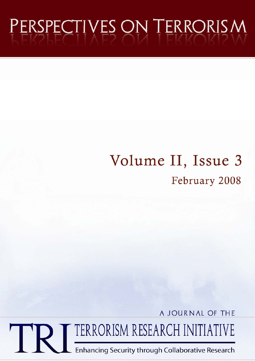# PERSPECTIVES ON TERRORISM

## Volume II, Issue 3 February 2008

A JOURNAL OF THE

TERRORISM RESEARCH INITIATIVE

Enhancing Security through Collaborative Research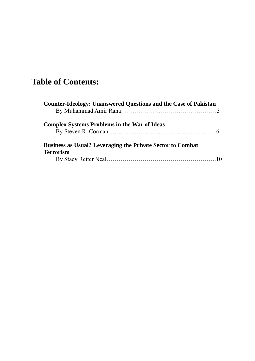### **Table of Contents:**

| <b>Counter-Ideology: Unanswered Questions and the Case of Pakistan</b> |  |
|------------------------------------------------------------------------|--|
|                                                                        |  |
| <b>Complex Systems Problems in the War of Ideas</b>                    |  |
|                                                                        |  |
| <b>Business as Usual? Leveraging the Private Sector to Combat</b>      |  |
| <b>Terrorism</b>                                                       |  |
|                                                                        |  |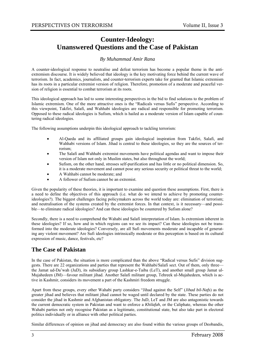#### **Counter-Ideology: Unanswered Questions and the Case of Pakistan**

#### *By Muhammad Amir Rana*

A counter-ideological response to neutralise and defeat terrorism has become a popular theme in the antiextremism discourse. It is widely believed that ideology is the key motivating force behind the current wave of terrorism. In fact, academics, journalists, and counter-terrorism experts take for granted that Islamic extremism has its roots in a particular extremist version of religion. Therefore, promotion of a moderate and peaceful version of religion is essential to combat terrorism at its roots.

This ideological approach has led to some interesting perspectives in the bid to find solutions to the problem of Islamic extremism. One of the more attractive ones is the "Radicals versus Sufis" perspective. According to this viewpoint, Takfiri, Salafi, and Wahhabi ideologies are radical and responsible for promoting terrorism. Opposed to these radical ideologies is Sufism, which is hailed as a moderate version of Islam capable of countering radical ideologies.

The following assumptions underpin this ideological approach to tackling terrorism:

- Al-Qaeda and its affiliated groups gain ideological inspiration from Takfiri, Salafi, and Wahhabi versions of Islam. Jihad is central to these ideologies, so they are the sources of terrorism;
- The Salafi and Wahhabi extremist movements have political agendas and want to impose their version of Islam not only in Muslim states, but also throughout the world;
- Sufism, on the other hand, stresses self-purification and has little or no political dimension. So, it is a moderate movement and cannot pose any serious security or political threat to the world;
- A Wahhabi cannot be moderate; and
- A follower of Sufism cannot be an extremist.

Given the popularity of these theories, it is important to examine and question these assumptions. First, there is a need to define the objectives of this approach (i.e. what do we intend to achieve by promoting counterideologies?). The biggest challenges facing policymakers across the world today are: elimination of terrorism; and neutralisation of the systems created by the extremist forces. In that context, is it necessary—and possible—to eliminate radical ideologies? And can these ideologies be countered by Sufism alone?

Secondly, there is a need to comprehend the Wahabi and Salafi interpretation of Islam. Is extremism inherent in these ideologies? If so, how and in which regions can we see its impact? Can these ideologies not be transformed into the moderate ideologies? Conversely, are all Sufi movements moderate and incapable of generating any violent movement? Are Sufi ideologies intrinsically moderate or this perception is based on its cultural expression of music, dance, festivals, etc?

#### **The Case of Pakistan**

In the case of Pakistan, the situation is more complicated than the above "Radical versus Sufis" division suggests. There are 22 organizations and parties that represent the Wahhabi/Salafi sect. Out of them, only three the Jamat ud-Da'wah (JuD), its subsidiary group Lashkar-e-Taiba (LeT), and another small group Jamat ul-Mujahedeen (JM)—favour militant jihad. Another Salafi militant group, Tehreek ul-Mujahedeen, which is active in Kashmir, considers its movement a part of the Kashmiri freedom struggle.

Apart from these groups, every other Wahabi party considers "Jihad against the Self" (*Jihad bil-Nafs*) as the greater jihad and believes that militant jihad cannot be waged until declared by the state. These parties do not consider the jihad in Kashmir and Afghanistan obligatory. The JuD, LeT and JM are also antagonistic towards the current democratic system in Pakistan and want to enforce a *Khilafah*, or the Caliphate, whereas the other Wahabi parties not only recognise Pakistan as a legitimate, constitutional state, but also take part in electoral politics individually or in alliance with other political parties.

Similar differences of opinion on jihad and democracy are also found within the various groups of Deobandis,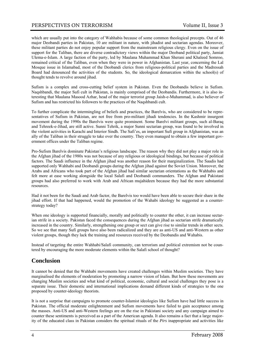which are usually put into the category of Wahhabis because of some common theological precepts. Out of 46 major Deobandi parties in Pakistan, 10 are militant in nature, with jihadist and sectarian agendas. Moreover, these militant parties do not enjoy popular support from the mainstream religious clergy. Even on the issue of support for the Taliban, there are diverse contradictory views within the major Deoband political party, Jamiat Ulema-e-Islam. A large faction of the party, led by Maulana Muhammad Khan Sherani and Khaleed Somroo, remained critical of the Taliban, even when they were in power in Afghanistan. Last year, concerning the Lal Mosque issue in Islamabad, most of the Deobandi clerics from religious-political parties and the Madressah Board had denounced the activities of the students. So, the ideological demarcation within the school(s) of thought tends to revolve around jihad.

Sufism is a complex and cross-cutting belief system in Pakistan. Even the Deobandis believe in Sufism. Naqshbandi, the major Sufi cult in Pakistan, is mainly comprised of the Deobandis. Furthermore, it is also interesting that Maulana Masood Azhar, head of the major terrorist group Jaish-e-Muhammad, is also believer of Sufism and has restricted his followers to the practices of the Naqshbandi cult.

To further complicate the intermingling of beliefs and practices, the Barelvis, who are considered to be representatives of Sufism in Pakistan, are not free from pro-militant jihadi tendencies. In the Kashmir insurgent movement during the 1990s the Barelvis were quite prominent. Some Barelvi militant groups, such al-Baraq and Tehreek-e-Jihad, are still active. Sunni Tehrik, a major Sunni sectarian group, was found to be involved in the violent activities in Karachi and Interior Sindh. The Safi'es, an important Sufi group in Afghanistan, was an ally of the Taliban in their struggle to take over the country. They even managed to obtain a few important government offices under the Taliban regime.

Pro-Sufism Barelvis dominate Pakistan's religious landscape. The reason why they did not play a major role in the Afghan jihad of the 1980s was not because of any religious or ideological bindings, but because of political factors. The Saudi influence in the Afghan jihad was another reason for their marginalization. The Saudis had supported only Wahhabi and Deobandi groups during the Afghan jihad against the Soviet Union. Moreover, the Arabs and Africans who took part of the Afghan jihad had similar sectarian orientations as the Wahhabis and felt more at ease working alongside the local Salafi and Deobandi commanders. The Afghan and Pakistani groups had also preferred to work with Arab and African mujahideen because they had the more substantial resources.

Had it not been for the Saudi and Arab factor, the Barelvis too would have been able to secure their share in the jihad effort. If that had happened, would the promotion of the Wahabi ideology be suggested as a counterstrategy today?

When one ideology is supported financially, morally and politically to counter the other, it can increase sectarian strife in a society. Pakistan faced the consequences during the Afghan jihad as sectarian strife dramatically increased in the country. Similarly, strengthening one group or sect can give rise to similar trends in other sects. So we see that many Sufi groups have also been radicalized and they are as anti-US and anti-Western as other violent groups, though they lack the training and resources received by the Deobandis and Wahabis.

Instead of targeting the entire Wahhabi/Salafi community, can terrorism and political extremism not be countered by encouraging the more moderate elements within the Salafi school of thought?

#### **Conclusion**

It cannot be denied that the Wahhabi movements have created challenges within Muslim societies. They have marginalised the elements of moderation by promoting a narrow vision of Islam. But how these movements are changing Muslim societies and what kind of political, economic, cultural and social challenges they pose is a separate issue. Their domestic and international implications demand different kinds of strategies to the one proposed by counter-ideology theorists.

It is not a surprise that campaigns to promote counter-Islamist ideologies like Sufism have had little success in Pakistan. The official moderate enlightenment and Sufism movements have failed to gain acceptance among the masses. Anti-US and anti-Western feelings are on the rise in Pakistani society and any campaign aimed to counter these sentiments is perceived as a part of the American agenda. It also remains a fact that a large majority of the educated class in Pakistan considers the spiritual rituals of the *Pirs* inappropriate and activities like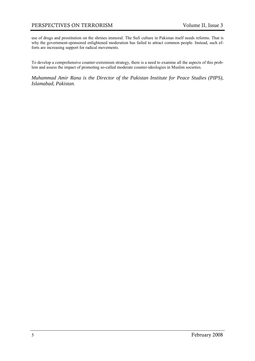use of drugs and prostitution on the shrines immoral. The Sufi culture in Pakistan itself needs reforms. That is why the government-sponsored enlightened moderation has failed to attract common people. Instead, such efforts are increasing support for radical movements.

To develop a comprehensive counter-extremism strategy, there is a need to examine all the aspects of this problem and assess the impact of promoting so-called moderate counter-ideologies in Muslim societies.

*Muhammad Amir Rana is the Director of the Pakistan Institute for Peace Studies (PIPS), Islamabad, Pakistan.*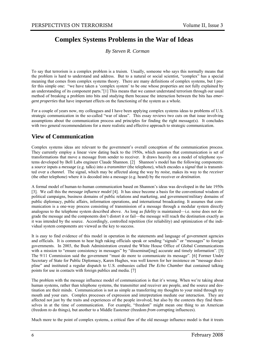#### **Complex Systems Problems in the War of Ideas**

*By Steven R. Corman* 

To say that terrorism is a complex problem is a truism. Usually, someone who says this normally means that the problem is hard to understand and address. But to a natural or social scientist, "complex" has a special meaning that comes from complex systems theory. There are many definitions of complex systems, but I prefer this simple one: "we have taken a 'complex system' to be one whose properties are not fully explained by an understanding of its component parts."[1] This means that we cannot understand terrorism through our usual method of breaking a problem into bits and studying them because the interaction between the bits has *emergent properties* that have important effects on the functioning of the system as a whole.

For a couple of years now, my colleagues and I have been applying complex systems ideas to problems of U.S. strategic communication in the so-called "war of ideas". This essay reviews two cuts on that issue involving assumptions about the communication process and principles for finding the right message(s). It concludes with two general recommendations for a more realistic and effective approach to strategic communication.

#### **View of Communication**

Complex systems ideas are relevant to the government's overall conception of the communication process. They currently employ a linear view dating back to the 1950s, which assumes that communication is set of transformations that move a message from sender to receiver. It draws heavily on a model of telephone systems developed by Bell Labs engineer Claude Shannon. [2] Shannon's model has the following components: a *source* inputs a *message* (e.g. talks) into a *transmitter* (the telephone), which encodes a *signal* that is transmitted over a *channel.* The signal, which may be affected along the way by *noise,* makes its way to the *receiver* (the other telephone) where it is decoded into a message (e.g. heard) by the receiver or *destination*.

A formal model of human-to-human communication based on Shannon's ideas was developed in the late 1950s [3]. We call this the *message influence model* [4]. It has since become a basis for the conventional wisdom of political campaigns, business domains of public relations and marketing, and government/military domains of public diplomacy, public affairs, information operations, and international broadcasting. It assumes that communication is a one-way process consisting of transmission of a message through a modular system directly analogous to the telephone system described above. As long as *fidelity* is maintained—i.e. noise does not degrade the message and the components don't distort it or fail—the message will reach the destination exactly as it was intended by the source. Accordingly, controlled repetition (for reliability) and optimization of the individual system components are viewed as the key to success.

It is easy to find evidence of this model in operation in the statements and language of government agencies and officials. It is common to hear high raking officials speak or sending "signals" or "messages" to foreign governments. In 2003, the Bush Administration created the White House Office of Global Communications with a mission to "ensure consistency in messages" by "disseminat[ing] accurate and timely information". [5] The 9/11 Commission said the government "must do more to communicate its message". [6] Former Under Secretary of State for Public Diplomacy, Karen Hughes, was well known for her insistence on "message discipline" and instituted a regular dispatch to U.S. embassies called *The Echo Chamber* that contained talking points for use in contacts with foreign publics and media. [7]

The problem with the message influence model of communication is that it's wrong. When we're taking about human systems, rather than telephone systems, the transmitter and receiver are people, and the source and destination are their minds. Communication is not as simple as transferring my thoughts to your mind through my mouth and your ears. Complex processes of expression and interpretation mediate our interaction. They are affected not just by the traits and experiences of the people involved, but also by the contexts they find themselves in at the time of communication. For example, "freedom" might mean one thing to an American (freedom *to* do things), but another to a Middle Easterner (freedom *from* corrupting influences).

Much more to the point of complex systems, a critical flaw of the old message influence model is that it treats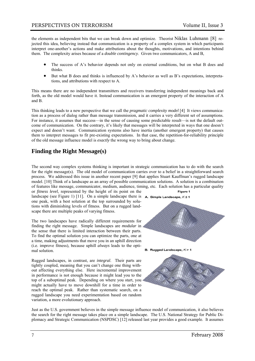the elements as independent bits that we can break down and optimize. Theorist Niklas Luhmann [8] rejected this idea, believing instead that communication is a property of a complex system in which participants interpret one-another's actions and make attributions about the thoughts, motivations, and intentions behind them. The complexity arises because of a *double contingency*. Given two communicators, A and B,

- The success of A's behavior depends not only on external conditions, but on what B does and thinks.
- But what B does and thinks is influenced by A's behavior as well as B's expectations, interpretations, and attributions with respect to A.

This means there are no independent transmitters and receivers transferring independent meanings back and forth, as the old model would have it. Instead communication is an emergent property of the interaction of A and B.

This thinking leads to a new perspective that we call the *pragmatic complexity model* [4] It views communication as a process of dialog rather than message transmission, and it carries a very different set of assumptions. For instance, it assumes that success—in the sense of causing some predictable result—is not the default outcome of communication. On the contrary, it's likely that messages will be interpreted in ways that one doesn't expect and doesn't want. Communication systems also have inertia (another emergent property) that causes them to interpret messages to fit pre-existing expectations. In that case, the repetition-for-reliability principle of the old message influence model is *exactly* the wrong way to bring about change.

#### **Finding the Right Message(s)**

The second way complex systems thinking is important in strategic communication has to do with the search for the right message(s). The old model of communication carries over to a belief in a straightforward search process. We addressed this issue in another recent paper [9] that applies Stuart Kauffman's rugged landscape model. [10] Think of a landscape as an array of possible communication solutions. A solution is a combination of features like message, communicator, medium, audience, timing, etc. Each solution has a particular quality

or *fitness level*, represented by the height of its point on the landscape (see Figure 1) [11]. On a simple landscape there is  $A$ . Simple Landscape,  $K \le 1$ one peak, with a best solution at the top surrounded by solutions with diminishing levels of fitness. But on a rugged landscape there are multiple peaks of varying fitness.

The two landscapes have radically different requirements for finding the right message. Simple landscapes are *modular* in the sense that there is limited interaction between their parts. To find the optimal solution you can optimize the parts, one at a time, making adjustments that move you in an uphill direction (i.e. improve fitness), because uphill *always* leads to the optimal solution.

Rugged landscapes, in contrast, are *integral*. Their parts are tightly coupled, meaning that you can't change one thing without affecting everything else. Here incremental improvement in performance is not enough because it might lead you to the top of a suboptimal peak. Depending on where you start, you might actually have to move downhill for a time in order to reach the optimal peak. Rather than systematic search, on a rugged landscape you need experimentation based on random variation, a more evolutionary approach.



Just as the U.S. government believes in the simple message influence model of communication, it also believes the search for the right message takes place on a simple landscape. The U.S. National Strategy for Public Diplomacy and Strategic Communication (NSPDSC) [12] released last year provides a good example. It assumes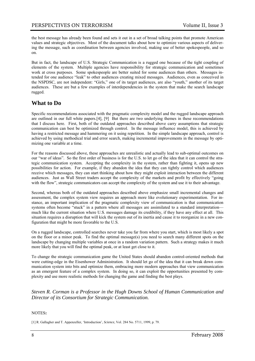the best message has already been found and sets it out in a set of broad talking points that promote American values and strategic objectives. Most of the document talks about how to optimize various aspects of delivering the message, such as coordination between agencies involved, making use of better spokespeople, and so on.

But in fact, the landscape of U.S. Strategic Communication is a rugged one because of the tight coupling of elements of the system. Multiple agencies have responsibility for strategic communication and sometimes work at cross purposes. Some spokespeople are better suited for some audiences than others. Messages intended for one audience "leak" to other audiences creating mixed messages. Audiences, even as conceived in the NSPDSC, are not independent: "Girls," one of its target audiences, are also "youth," another of its target audiences. These are but a few examples of interdependencies in the system that make the search landscape rugged.

#### **What to Do**

Specific recommendations associated with the pragmatic complexity model and the rugged landscape approach are outlined in our full white papers.[4], [9] But there are two underlying themes in these recommendations that I discuss here. First, both of the outdated approaches described above carry assumptions that strategic communication can best be optimized through control. In the message influence model, this is achieved by having a restricted message and hammering on it using repetition. In the simple landscape approach, control is achieved by using methodical trial and error search, making incremental improvements in the message by optimizing one variable at a time.

For the reasons discussed above, these approaches are unrealistic and actually lead to sub-optimal outcomes on our "war of ideas". So the first order of business is for the U.S. to let go of the idea that it can control the strategic communication system. Accepting the complexity in the system, rather than fighting it, opens up new possibilities for action. For example, if they abandon the idea that they can tightly control which audiences receive which messages, they can start thinking about how they might exploit interaction between the different audiences. Just as Wall Street traders accept the complexity of the markets and profit by effectively "going with the flow", strategic communicators can accept the complexity of the system and use it to their advantage.

Second, whereas both of the outdated approaches described above emphasize small incremental changes and assessment, the complex system view requires an approach more like evolutionary experimentation. For instance, an important implication of the pragmatic complexity view of communication is that communication systems often become "stuck" in a pattern where all messages are assimilated to a standard interpretation much like the current situation where U.S. messages damage its credibility, if they have any effect at all. This situation requires a disruption that will kick the system out of its inertia and cause it to reorganize in a new configuration that might be more favorable to the U.S.

On a rugged landscape, controlled searches never take you far from where you start, which is most likely a spot on the floor or a minor peak. To find the optimal message(s) you need to search many different spots on the landscape by changing multiple variables at once in a random variation pattern. Such a strategy makes it much more likely that you will find the optimal peak, or at least get close to it.

To change the strategic communication game the United States should abandon control-oriented methods that were cutting-edge in the Eisenhower Administration. It should let go of the idea that it can break down communication system into bits and optimize them, embracing more modern approaches that view communication as an emergent feature of a complex system. In doing so, it can exploit the opportunities presented by complexity and use more realistic methods for changing the game and finding the best plays.

*Steven R. Corman is a Professor in the Hugh Downs School of Human Communication and Director of its Consortium for Strategic Communication.*

#### NOTES**:**

[1] R. Gallagher and T. Appenzeller, 'Introduction', *Science*, Vol. 284 No. 5711, 1999, p. 79.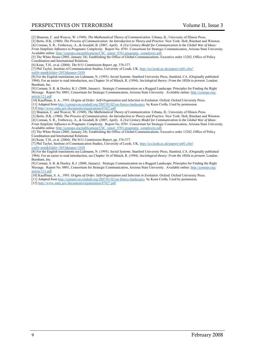[2] Shannon, C. and Weaver, W. (1949). *The Mathematical Theory of Communication*. Urbana, IL: University of Illinois Press.

[3] Berlo, D.K. (1960). *The Process of Communication: An Introduction to Theory and Practice*. New York: Holt, Rinehart and Winston. [4] Corman, S. R., Trethewey, A., & Goodall, B. (2007, April). *A 21st Century Model for Communication in the Global War of Ideas: From Simplistic Influence to Pragmatic Complexity*. Report No. 0701. Consortium for Strategic Communication, Arizona State University. Available online: http://comops.org/publications/CSC\_report\_0701-pragmatic\_complexity.pdf.

[5] The White House (2003, January 24). Establishing the Office of Global Communications. Executive order 13282, Office of Policy Coordination and International Relations.

[6] Kean, T.H., et al. (2004). *The 9/11 Commission Report*, pp. 376-377.

[7] Phil Taylor, Institute of Communication Studies, University of Leeds, UK. http://ics.leeds.ac.uk/papers/vp01.cfm?

outfit=pmt&folder=2053&paper=2438

[8] For the English translations see Luhmann, N. (1995). *Social Systems*. Stanford University Press, Stanford, CA. (Originally published 1984). For an easier to read introduction, see Chapter 16 of Münch, R. (1994). *Sociological theory: From the 1850s to present*. London: Burnham, Inc.

[9] Corman, S. R. & Dooley, K.J. (2008, January). Strategic Communication on a Rugged Landscape: Principles for Finding the Right Message. Report No. 0801, Consortium for Strategic Communication, Arizona State University. Available online: http://comops.org/ article/121.pdf

[10] Kauffman, S. A., 1993. *Origins of Order: Self-Organization and Selection in Evolution*. Oxford: Oxford University Press.

[11] Adapted from http://cairnarvon.rotahall.org/2007/01/02/on-fitness-landscapes by Koen Crolla. Used by permission.

[12] http://www.state.gov/documents/organization/87427.pdf

[2] Shannon, C. and Weaver, W. (1949). *The Mathematical Theory of Communication*. Urbana, IL: University of Illinois Press.

[3] Berlo, D.K. (1960). *The Process of Communication: An Introduction to Theory and Practice*. New York: Holt, Rinehart and Winston.

[4] Corman, S. R., Trethewey, A., & Goodall, B. (2007, April). *A 21st Century Model for Communication in the Global War of Ideas: From Simplistic Influence to Pragmatic Complexity*. Report No. 0701. Consortium for Strategic Communication, Arizona State University. Available online: http://comops.org/publications/CSC\_report\_0701-pragmatic\_complexity.pdf.

[5] The White House (2003, January 24). Establishing the Office of Global Communications. Executive order 13282, Office of Policy Coordination and International Relations.

[6] Kean, T.H., et al. (2004). *The 9/11 Commission Report*, pp. 376-377.

[7] Phil Taylor, Institute of Communication Studies, University of Leeds, UK. http://ics.leeds.ac.uk/papers/vp01.cfm?

outfit=pmt&folder=2053&paper=2438

[8] For the English translations see Luhmann, N. (1995). *Social Systems*. Stanford University Press, Stanford, CA. (Originally published 1984). For an easier to read introduction, see Chapter 16 of Münch, R. (1994). *Sociological theory: From the 1850s to present*. London: Burnham, Inc.

[9] Corman, S. R. & Dooley, K.J. (2008, January). Strategic Communication on a Rugged Landscape: Principles for Finding the Right Message. Report No. 0801, Consortium for Strategic Communication, Arizona State University. Available online: http://c article/121.pdf

[10] Kauffman, S. A., 1993. *Origins of Order: Self-Organization and Selection in Evolution*. Oxford: Oxford University Press.

[11] Adapted from http://cairnarvon.rotahall.org/2007/01/02/on-fitness-landscapes by Koen Crolla. Used by permission.

[12] http://www.state.gov/documents/organization/87427.pdf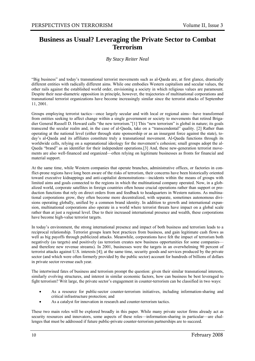#### **Business as Usual? Leveraging the Private Sector to Combat Terrorism**

#### *By Stacy Reiter Neal*

"Big business" and today's transnational terrorist movements such as al-Qaeda are, at first glance, drastically different entities with radically different aims. While one embodies Western capitalism and secular values, the other rails against the established world order, envisioning a society in which religious values are paramount. Despite their near-diametric opposition in principle, however, the trajectories of multinational corporations and transnational terrorist organizations have become increasingly similar since the terrorist attacks of September 11, 2001.

Groups employing terrorist tactics—once largely secular and with local or regional aims—have transformed from entities seeking to affect change within a single government or society to movements that retired Brigadier General Russell D. Howard calls "the new terrorism."[1] This "new terrorism" is global in nature; its goals transcend the secular realm and, in the case of al-Qaeda, take on a "transcendental" quality. [2] Rather than operating at the national level (either through state sponsorship or as an insurgent force against the state), today's al-Qaeda and its affiliates constitute truly a transnational movement. Al-Qaeda functions through its worldwide cells, relying on a supranational ideology for the movement's cohesion; small groups adopt the al-Qaeda "brand" as an identifier for their independent operations.[3] And, these new-generation terrorist movements are also well-financed and organized—often relying on legitimate businesses as fronts for financial and material support.

At the same time, while Western companies that operate branches, administrative offices, or factories in conflict-prone regions have long been aware of the risks of terrorism, their concerns have been historically oriented toward executive kidnappings and anti-capitalist demonstrations—incidents within the means of groups with limited aims and goals connected to the regions in which the multinational company operated. Now, in a globalized world, corporate satellites in foreign countries often house crucial operations rather than support or production functions that rely on direct orders from and feedback to headquarters in Western nations. As multinational corporations grow, they often become more decentralized, with separate, sometimes autonomous divisions operating globally, unified by a common brand identity. In addition to growth and international expansion, multinational corporations also operate in a world where terrorist threats have impact on a global scale rather than at just a regional level. Due to their increased international presence and wealth, these corporations have become high-value terrorist targets.

In today's environment, the strong international presence and impact of both business and terrorism leads to a reciprocal relationship. Terrorist groups learn best practices from business, and gain legitimate cash flows as well as big payoffs through publicized attacks. Meanwhile, corporations have felt the impact of terrorism both negatively (as targets) and positively (as terrorism creates new business opportunities for some companies and therefore new revenue streams). In 2001, businesses were the targets in an overwhelming 90 percent of terrorist attacks against U.S. interests [4]; at the same time, security goods and services produced by the private sector (and which were often formerly provided by the public sector) account for hundreds of billions of dollars in private sector revenue each year.

The intertwined fates of business and terrorism prompt the question: given their similar transnational interests, similarly evolving structures, and interest in similar economic factors, how can business be best leveraged to fight terrorism? Writ large, the private sector's engagement in counter-terrorism can be classified in two ways:

- As a resource for public-sector counter-terrorism initiatives, including information-sharing and critical infrastructure protection; and
- As a catalyst for innovation in research and counter-terrorism tactics.

These two main roles will be explored broadly in this paper. While many private sector firms already act as security resources and innovators, some aspects of these roles—information-sharing in particular—are challenges that must be addressed if future public-private counter-terrorism partnerships are to succeed.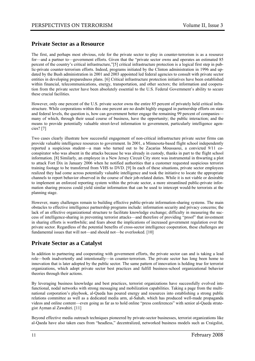#### **Private Sector as a Resource**

The first, and perhaps most obvious, role for the private sector to play in counter-terrorism is as a resource for—and a partner to—government efforts. Given that the "private sector owns and operates an estimated 85 percent of the country's critical infrastructure,"[5] critical infrastructure protection is a logical first step in public-private counter-terrorism efforts. Indeed, programs initiated by the Clinton administration in 1996 and updated by the Bush administration in 2001 and 2003 appointed led federal agencies to consult with private sector entities in developing preparedness plans. [6] Critical infrastructure protection initiatives have been established within financial, telecommunications, energy, transportation, and other sectors; the information and cooperation from the private sector have been absolutely essential to the U.S. Federal Government's ability to secure these crucial facilities.

However, only one percent of the U.S. private sector owns the entire 85 percent of privately held critical infrastructure. While corporations within this one percent are no doubt highly engaged in partnership efforts on state and federal levels, the question is, how can government better engage the remaining 99 percent of companies many of which, through their usual course of business, have the opportunity; the public interaction; and the means to provide potentially valuable street-level information to government, particularly intelligence agencies? [7]

Two cases clearly illustrate how successful engagement of non-critical infrastructure private sector firms can provide valuable intelligence resources to government. In 2001, a Minnesota-based flight school independently reported a suspicious student—a man who turned out to be Zacarias Moussaoui, a convicted 9/11 coconspirator who was absent in the attacks because he was already in custody, thanks in part to the flight school information. [8] Similarly, an employee in a New Jersey Circuit City store was instrumental in thwarting a plot to attack Fort Dix in January 2006 when he notified authorities that a customer requested suspicious terrorist training footage to be transferred from VHS to DVD. [9] In each of these situations, private sector employees realized they had come across potentially valuable intelligence and took the initiative to locate the appropriate channels to report behavior observed in the course of their job-related duties. While it is not viable or desirable to implement an enforced reporting system within the private sector, a more streamlined public-private information sharing process could yield similar information that can be used to intercept would-be terrorists at the planning stage.

However, many challenges remain to building effective public-private information-sharing systems. The main obstacles to effective intelligence partnership programs include: information security and privacy concerns; the lack of an effective organizational structure to facilitate knowledge exchange; difficulty in measuring the success of intelligence-sharing in preventing terrorist attacks—and therefore of providing "proof" that investment in sharing efforts is worthwhile; and fears about the implications of increased government regulation over the private sector. Regardless of the potential benefits of cross-sector intelligence cooperation, these challenges are fundamental issues that will not—and should not—be overlooked. [10]

#### **Private Sector as a Catalyst**

In addition to partnering and cooperating with government efforts, the private sector can and is taking a lead role—both inadvertently and intentionally—in counter-terrorism. The private sector has long been home to innovation that is later adopted by the public sector. The same pattern of innovation is holding true for terrorist organizations, which adopt private sector best practices and fulfill business-school organizational behavior theories through their actions.

By leveraging business knowledge and best practices, terrorist organizations have successfully evolved into functional, nodal networks with strong messaging and mobilization capabilities. Taking a page from the multinational corporation's playbook, al-Qaeda has poured energy and resources into establishing a strong public relations committee as well as a dedicated media arm, al-Sahab, which has produced well-made propaganda videos and online content—even going as far as to hold online "press conferences" with senior al-Qaeda strategist Ayman al Zawahiri. [11]

Beyond effective media outreach techniques pioneered by private-sector businesses, terrorist organizations like al-Qaeda have also taken cues from "headless," decentralized, networked business models such as Craigslist,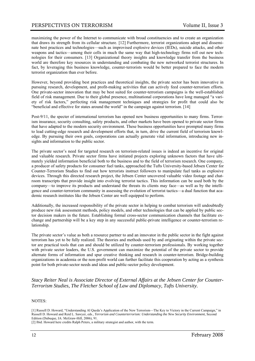maximizing the power of the Internet to communicate with broad constituencies and to create an organization that draws its strength from its cellular structure. [12] Furthermore, terrorist organizations adopt and disseminate best practices and technologies—such as improvised explosive devices (IEDs), suicide attacks, and other weapons and tactics—among their cells in much the same way that high-technology firms roll out new technologies for their consumers. [13] Organizational theory insights and knowledge transfer from the business world are therefore key resources in understanding and combating the new networked terrorist structures. In fact, by leveraging this business knowledge, counter-terrorists would be better prepared to face the modern terrorist organization than ever before.

However, beyond providing best practices and theoretical insights, the private sector has been innovative in pursuing research, development, and profit-making activities that can actively feed counter-terrorism efforts. One private-sector innovation that may be best suited for counter-terrorism campaigns is the well-established field of risk management. Due to their global presence, multinational corporations have long managed "a variety of risk factors," perfecting risk management techniques and strategies for profit that could also be "beneficial and effective for states around the world" in the campaign against terrorism. [14]

Post-9/11, the specter of international terrorism has opened new business opportunities to many firms. Terrorism insurance, security consulting, safety products, and other markets have been opened to private sector firms that have adapted to the modern security environment. These business opportunities have prompted many firms to lead cutting-edge research and development efforts that, in turn, drive the current field of terrorism knowledge. By pursuing their own goals, corporations can actually generate vital information, introducing new insights and information to the public sector.

The private sector's need for targeted research on terrorism-related issues is indeed an incentive for original and valuable research. Private sector firms have initiated projects exploring unknown factors that have ultimately yielded information beneficial both to the business and to the field of terrorism research. One company, a producer of safety products for consumer fuel tanks, approached the Tufts University-based Jebsen Center for Counter-Terrorism Studies to find out how terrorists instruct followers to manipulate fuel tanks as explosive devices. Through this directed research project, the Jebsen Center uncovered valuable video footage and chatroom transcripts that provide insight into evolving terrorist tactics. This information can be used both by the company—to improve its products and understand the threats its clients may face—as well as by the intelligence and counter-terrorism community in assessing the evolution of terrorist tactics—a dual function that academic research institutes like the Jebsen Center are well equipped to perform.

Additionally, the increased responsibility of the private sector in helping to combat terrorism will undoubtedly produce new risk assessment methods, policy models, and other technologies that can be applied by public sector decision makers in the future. Establishing formal cross-sector communication channels that facilitate exchange and partnership will be a key step in any successful public-private intelligence or counter-terrorism relationship.

The private sector's value as both a resource partner to and an innovator in the public sector in the fight against terrorism has yet to be fully realized. The theories and methods used by and originating within the private sector are practical tools that can and should be utilized by counter-terrorism professionals. By working together with private sector leaders, the U.S. government can maximize the potential of the private sector to provide alternate forms of information and spur creative thinking and research in counter-terrorism. Bridge-building organizations in academia or the non-profit world can further facilitate this cooperation by acting as a synthesis point for both private-sector needs and ideas and public-sector policy development.

#### *Stacy Reiter Neal is Associate Director of External Affairs at the Jebsen Center for Counter-Terrorism Studies, The Fletcher School of Law and Diplomacy, Tufts University.*

#### NOTES:

[1] Russell D. Howard, "Understanding Al Qaeda's Application of the New Terrorism—The Key to Victory in the Current Campaign," in Russell D. Howard and Reid L. Sawyer, eds., *Terrorism and Counterterrorism: Understanding the New Security Environment*, Second Edition (Dubuque, IA: McGraw-Hill, 2006), 91.

[2] Ibid. Howard here credits Ralph Peters, a military strategist and author, with the term.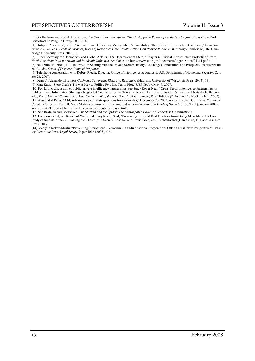[3] Ori Brafman and Rod A. Beckstrom, *The Starfish and the Spider: The Unstoppable Power of Leaderless Organizations* (New York: Portfolio/The Penguin Group, 2006), 140.

[4] Philip E. Auerswald, et. al., "Where Private Efficiency Meets Public Vulnerability: The Critical Infrastructure Challenge," from Auerswald et. al., eds., *Seeds of Disaster, Roots of Response: How Private Action Can Reduce Public Vulnerability* (Cambridge, UK: Cambridge University Press, 2006), 7.

[5] Under Secretary for Democracy and Global Affairs, U.S. Department of State, "Chapter 6: Critical Infrastructure Protection," from *North American Plan for Avian and Pandemic Influenza*. Available at <http://www.state.gov/documents/organization/91311.pdf>. [6] See Daniel B. Prieto, III, "Information Sharing with the Private Sector: History, Challenges, Innovation, and Prospects," in Auerswald et. al., eds., *Seeds of Disaster, Roots of Response*.

[7] Telephone conversation with Robert Riegle, Director, Office of Intelligence & Analysis, U.S. Department of Homeland Security, October 23, 2007.

[8] Dean C. Alexander, *Business Confronts Terrorism: Risks and Responses* (Madison: University of Wisconsin Press, 2004), 13. [9] Matt Katz, "Store Clerk's Tip was Key to Foiling Fort Dix Terror Plot," *USA Today*, May 9, 2007.

[10] For further discussion of public-private intelligence partnerships, see Stacy Reiter Neal, "Cross-Sector Intelligence Partnerships: Is Public-Private Information Sharing a Neglected Counterterrorism Tool?" in Russell D. Howard, Reid L. Sawyer, and Natasha E. Bajema, eds., *Terrorism and Counterterrorism: Understanding the New Security Environment*, Third Edition (Dubuque, IA: McGraw-Hill, 2008). [11] Associated Press, "Al-Qaida invites journalists questions for al-Zawahri," December 20, 2007. Also see Rohan Gunaratna, "Strategic Counter-Terrorism: Part III, Mass Media Response to Terrorism," *Jebsen Center Research Briefing Series* Vol. 3, No. 1 (January 2008), available at <http://fletcher.tufts.edu/jebsencenter/publications.shtml>.

[12] See Brafman and Beckstrom, *The Starfish and the Spider: The Unstoppable Power of Leaderless Organizations*.

[13] For more detail, see Rockford Weitz and Stacy Reiter Neal, "Preventing Terrorist Best Practices from Going Mass Market A Case Study of Suicide Attacks 'Crossing the Chasm'," in Sean S. Costigan and David Gold, eds., *Terrornomics* (Hampshire, England: Ashgate Press, 2007).

[14] Jocelyne Kokaz-Muslu, "Preventing International Terrorism: Can Multinational Corporations Offer a Fresh New Perspective?" *Berkeley Electronic Press Legal Series*, Paper 1016 (2006), 5-6.